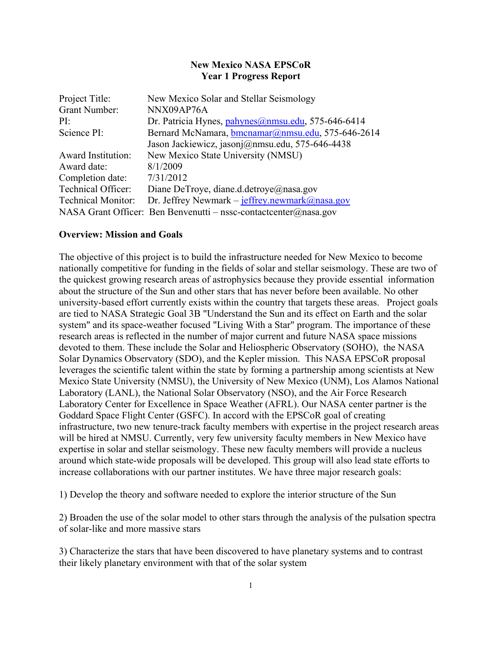### **New Mexico NASA EPSCoR Year 1 Progress Report**

| Project Title:            | New Mexico Solar and Stellar Seismology                          |
|---------------------------|------------------------------------------------------------------|
| <b>Grant Number:</b>      | NNX09AP76A                                                       |
| PI:                       | Dr. Patricia Hynes, pahynes@nmsu.edu, 575-646-6414               |
| Science PI:               | Bernard McNamara, bmcnamar@nmsu.edu, 575-646-2614                |
|                           | Jason Jackiewicz, jasonj@nmsu.edu, 575-646-4438                  |
| <b>Award Institution:</b> | New Mexico State University (NMSU)                               |
| Award date:               | 8/1/2009                                                         |
| Completion date:          | 7/31/2012                                                        |
| <b>Technical Officer:</b> | Diane DeTroye, diane.d.detroye@nasa.gov                          |
| <b>Technical Monitor:</b> | Dr. Jeffrey Newmark – jeffrey.newmark@nasa.gov                   |
|                           | NASA Grant Officer: Ben Benvenutti – nssc-contactcenter@nasa.gov |

#### **Overview: Mission and Goals**

The objective of this project is to build the infrastructure needed for New Mexico to become nationally competitive for funding in the fields of solar and stellar seismology. These are two of the quickest growing research areas of astrophysics because they provide essential information about the structure of the Sun and other stars that has never before been available. No other university-based effort currently exists within the country that targets these areas. Project goals are tied to NASA Strategic Goal 3B "Understand the Sun and its effect on Earth and the solar system" and its space-weather focused "Living With a Star" program. The importance of these research areas is reflected in the number of major current and future NASA space missions devoted to them. These include the Solar and Heliospheric Observatory (SOHO), the NASA Solar Dynamics Observatory (SDO), and the Kepler mission. This NASA EPSCoR proposal leverages the scientific talent within the state by forming a partnership among scientists at New Mexico State University (NMSU), the University of New Mexico (UNM), Los Alamos National Laboratory (LANL), the National Solar Observatory (NSO), and the Air Force Research Laboratory Center for Excellence in Space Weather (AFRL). Our NASA center partner is the Goddard Space Flight Center (GSFC). In accord with the EPSCoR goal of creating infrastructure, two new tenure-track faculty members with expertise in the project research areas will be hired at NMSU. Currently, very few university faculty members in New Mexico have expertise in solar and stellar seismology. These new faculty members will provide a nucleus around which state-wide proposals will be developed. This group will also lead state efforts to increase collaborations with our partner institutes. We have three major research goals:

1) Develop the theory and software needed to explore the interior structure of the Sun

2) Broaden the use of the solar model to other stars through the analysis of the pulsation spectra of solar-like and more massive stars

3) Characterize the stars that have been discovered to have planetary systems and to contrast their likely planetary environment with that of the solar system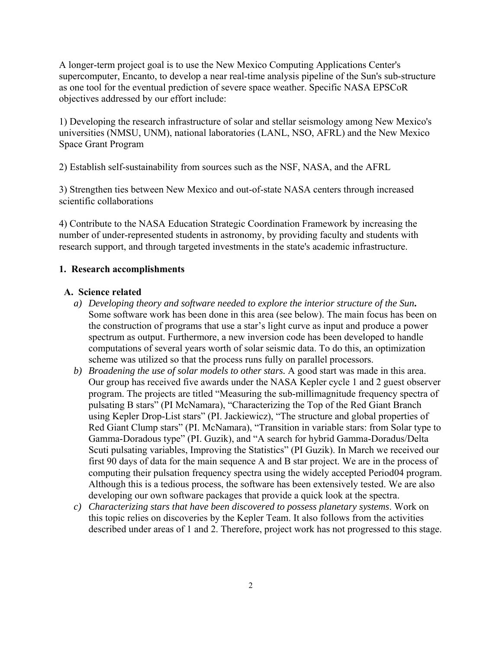A longer-term project goal is to use the New Mexico Computing Applications Center's supercomputer, Encanto, to develop a near real-time analysis pipeline of the Sun's sub-structure as one tool for the eventual prediction of severe space weather. Specific NASA EPSCoR objectives addressed by our effort include:

1) Developing the research infrastructure of solar and stellar seismology among New Mexico's universities (NMSU, UNM), national laboratories (LANL, NSO, AFRL) and the New Mexico Space Grant Program

2) Establish self-sustainability from sources such as the NSF, NASA, and the AFRL

3) Strengthen ties between New Mexico and out-of-state NASA centers through increased scientific collaborations

4) Contribute to the NASA Education Strategic Coordination Framework by increasing the number of under-represented students in astronomy, by providing faculty and students with research support, and through targeted investments in the state's academic infrastructure.

### **1. Research accomplishments**

#### **A. Science related**

- *a) Developing theory and software needed to explore the interior structure of the Sun***.**  Some software work has been done in this area (see below). The main focus has been on the construction of programs that use a star's light curve as input and produce a power spectrum as output. Furthermore, a new inversion code has been developed to handle computations of several years worth of solar seismic data. To do this, an optimization scheme was utilized so that the process runs fully on parallel processors.
- *b) Broadening the use of solar models to other stars.* A good start was made in this area. Our group has received five awards under the NASA Kepler cycle 1 and 2 guest observer program. The projects are titled "Measuring the sub-millimagnitude frequency spectra of pulsating B stars" (PI McNamara), "Characterizing the Top of the Red Giant Branch using Kepler Drop-List stars" (PI. Jackiewicz), "The structure and global properties of Red Giant Clump stars" (PI. McNamara), "Transition in variable stars: from Solar type to Gamma-Doradous type" (PI. Guzik), and "A search for hybrid Gamma-Doradus/Delta Scuti pulsating variables, Improving the Statistics" (PI Guzik). In March we received our first 90 days of data for the main sequence A and B star project. We are in the process of computing their pulsation frequency spectra using the widely accepted Period04 program. Although this is a tedious process, the software has been extensively tested. We are also developing our own software packages that provide a quick look at the spectra.
- *c) Characterizing stars that have been discovered to possess planetary systems*. Work on this topic relies on discoveries by the Kepler Team. It also follows from the activities described under areas of 1 and 2. Therefore, project work has not progressed to this stage.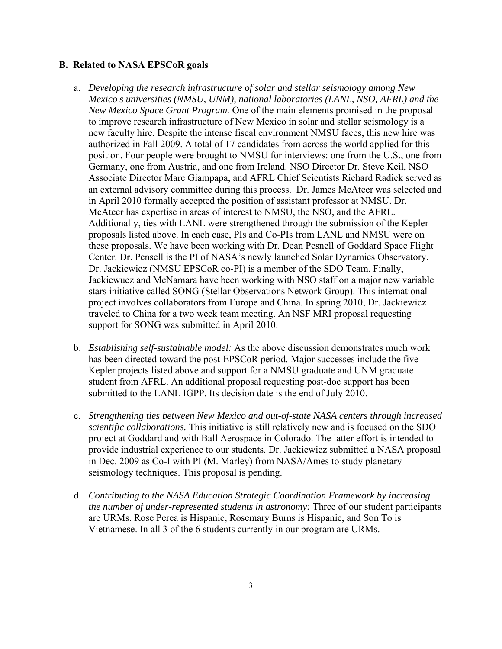#### **B. Related to NASA EPSCoR goals**

- a. *Developing the research infrastructure of solar and stellar seismology among New Mexico's universities (NMSU, UNM), national laboratories (LANL, NSO, AFRL) and the New Mexico Space Grant Program.* One of the main elements promised in the proposal to improve research infrastructure of New Mexico in solar and stellar seismology is a new faculty hire. Despite the intense fiscal environment NMSU faces, this new hire was authorized in Fall 2009. A total of 17 candidates from across the world applied for this position. Four people were brought to NMSU for interviews: one from the U.S., one from Germany, one from Austria, and one from Ireland. NSO Director Dr. Steve Keil, NSO Associate Director Marc Giampapa, and AFRL Chief Scientists Richard Radick served as an external advisory committee during this process. Dr. James McAteer was selected and in April 2010 formally accepted the position of assistant professor at NMSU. Dr. McAteer has expertise in areas of interest to NMSU, the NSO, and the AFRL. Additionally, ties with LANL were strengthened through the submission of the Kepler proposals listed above. In each case, PIs and Co-PIs from LANL and NMSU were on these proposals. We have been working with Dr. Dean Pesnell of Goddard Space Flight Center. Dr. Pensell is the PI of NASA's newly launched Solar Dynamics Observatory. Dr. Jackiewicz (NMSU EPSCoR co-PI) is a member of the SDO Team. Finally, Jackiewucz and McNamara have been working with NSO staff on a major new variable stars initiative called SONG (Stellar Observations Network Group). This international project involves collaborators from Europe and China. In spring 2010, Dr. Jackiewicz traveled to China for a two week team meeting. An NSF MRI proposal requesting support for SONG was submitted in April 2010.
- b. *Establishing self-sustainable model:* As the above discussion demonstrates much work has been directed toward the post-EPSCoR period. Major successes include the five Kepler projects listed above and support for a NMSU graduate and UNM graduate student from AFRL. An additional proposal requesting post-doc support has been submitted to the LANL IGPP. Its decision date is the end of July 2010.
- c. *Strengthening ties between New Mexico and out-of-state NASA centers through increased scientific collaborations.* This initiative is still relatively new and is focused on the SDO project at Goddard and with Ball Aerospace in Colorado. The latter effort is intended to provide industrial experience to our students. Dr. Jackiewicz submitted a NASA proposal in Dec. 2009 as Co-I with PI (M. Marley) from NASA/Ames to study planetary seismology techniques. This proposal is pending.
- d. *Contributing to the NASA Education Strategic Coordination Framework by increasing the number of under-represented students in astronomy:* Three of our student participants are URMs. Rose Perea is Hispanic, Rosemary Burns is Hispanic, and Son To is Vietnamese. In all 3 of the 6 students currently in our program are URMs.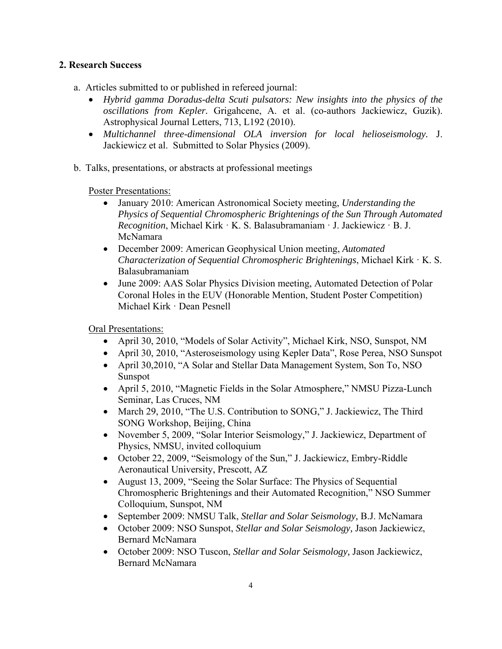## **2. Research Success**

- a. Articles submitted to or published in refereed journal:
	- *Hybrid gamma Doradus-delta Scuti pulsators: New insights into the physics of the oscillations from Kepler.* Grigahcene, A. et al. (co-authors Jackiewicz, Guzik). Astrophysical Journal Letters, 713, L192 (2010).
	- *Multichannel three-dimensional OLA inversion for local helioseismology.* J. Jackiewicz et al. Submitted to Solar Physics (2009).
- b. Talks, presentations, or abstracts at professional meetings

Poster Presentations:

- January 2010: American Astronomical Society meeting, *Understanding the Physics of Sequential Chromospheric Brightenings of the Sun Through Automated Recognition*, Michael Kirk · K. S. Balasubramaniam · J. Jackiewicz · B. J. McNamara
- December 2009: American Geophysical Union meeting, *Automated Characterization of Sequential Chromospheric Brightenings*, Michael Kirk · K. S. Balasubramaniam
- June 2009: AAS Solar Physics Division meeting, Automated Detection of Polar Coronal Holes in the EUV (Honorable Mention, Student Poster Competition) Michael Kirk · Dean Pesnell

Oral Presentations:

- April 30, 2010, "Models of Solar Activity", Michael Kirk, NSO, Sunspot, NM
- April 30, 2010, "Asteroseismology using Kepler Data", Rose Perea, NSO Sunspot
- April 30,2010, "A Solar and Stellar Data Management System, Son To, NSO Sunspot
- April 5, 2010, "Magnetic Fields in the Solar Atmosphere," NMSU Pizza-Lunch Seminar, Las Cruces, NM
- March 29, 2010, "The U.S. Contribution to SONG," J. Jackiewicz, The Third SONG Workshop, Beijing, China
- November 5, 2009, "Solar Interior Seismology," J. Jackiewicz, Department of Physics, NMSU, invited colloquium
- October 22, 2009, "Seismology of the Sun," J. Jackiewicz, Embry-Riddle Aeronautical University, Prescott, AZ
- August 13, 2009, "Seeing the Solar Surface: The Physics of Sequential Chromospheric Brightenings and their Automated Recognition," NSO Summer Colloquium, Sunspot, NM
- September 2009: NMSU Talk, *Stellar and Solar Seismology,* B.J. McNamara
- October 2009: NSO Sunspot, *Stellar and Solar Seismology,* Jason Jackiewicz, Bernard McNamara
- October 2009: NSO Tuscon, *Stellar and Solar Seismology,* Jason Jackiewicz, Bernard McNamara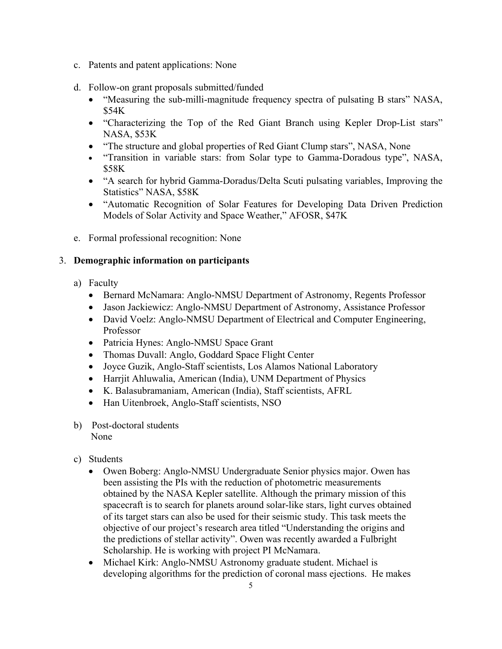- c. Patents and patent applications: None
- d. Follow-on grant proposals submitted/funded
	- "Measuring the sub-milli-magnitude frequency spectra of pulsating B stars" NASA, \$54K
	- "Characterizing the Top of the Red Giant Branch using Kepler Drop-List stars" NASA, \$53K
	- "The structure and global properties of Red Giant Clump stars", NASA, None
	- "Transition in variable stars: from Solar type to Gamma-Doradous type", NASA, \$58K
	- "A search for hybrid Gamma-Doradus/Delta Scuti pulsating variables, Improving the Statistics" NASA, \$58K
	- "Automatic Recognition of Solar Features for Developing Data Driven Prediction Models of Solar Activity and Space Weather," AFOSR, \$47K
- e. Formal professional recognition: None

## 3. **Demographic information on participants**

- a) Faculty
	- Bernard McNamara: Anglo-NMSU Department of Astronomy, Regents Professor
	- Jason Jackiewicz: Anglo-NMSU Department of Astronomy, Assistance Professor
	- David Voelz: Anglo-NMSU Department of Electrical and Computer Engineering, Professor
	- Patricia Hynes: Anglo-NMSU Space Grant
	- Thomas Duvall: Anglo, Goddard Space Flight Center
	- Joyce Guzik, Anglo-Staff scientists, Los Alamos National Laboratory
	- Harrjit Ahluwalia, American (India), UNM Department of Physics
	- K. Balasubramaniam, American (India), Staff scientists, AFRL
	- Han Uitenbroek, Anglo-Staff scientists, NSO
- b) Post-doctoral students None
- c) Students
	- Owen Boberg: Anglo-NMSU Undergraduate Senior physics major. Owen has been assisting the PIs with the reduction of photometric measurements obtained by the NASA Kepler satellite. Although the primary mission of this spacecraft is to search for planets around solar-like stars, light curves obtained of its target stars can also be used for their seismic study. This task meets the objective of our project's research area titled "Understanding the origins and the predictions of stellar activity". Owen was recently awarded a Fulbright Scholarship. He is working with project PI McNamara.
	- Michael Kirk: Anglo-NMSU Astronomy graduate student. Michael is developing algorithms for the prediction of coronal mass ejections. He makes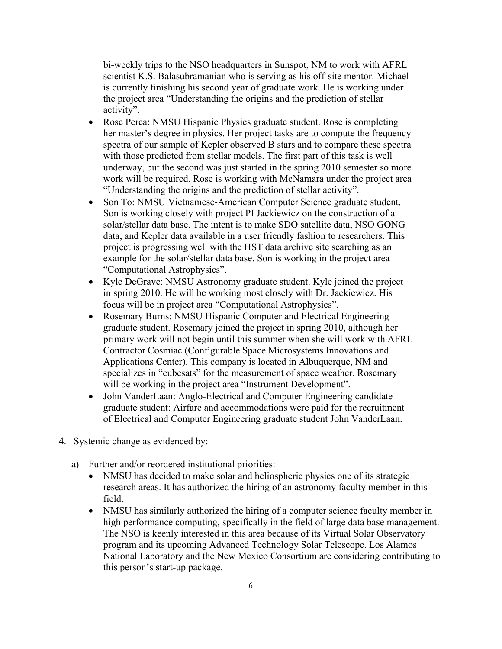bi-weekly trips to the NSO headquarters in Sunspot, NM to work with AFRL scientist K.S. Balasubramanian who is serving as his off-site mentor. Michael is currently finishing his second year of graduate work. He is working under the project area "Understanding the origins and the prediction of stellar activity".

- Rose Perea: NMSU Hispanic Physics graduate student. Rose is completing her master's degree in physics. Her project tasks are to compute the frequency spectra of our sample of Kepler observed B stars and to compare these spectra with those predicted from stellar models. The first part of this task is well underway, but the second was just started in the spring 2010 semester so more work will be required. Rose is working with McNamara under the project area "Understanding the origins and the prediction of stellar activity".
- Son To: NMSU Vietnamese-American Computer Science graduate student. Son is working closely with project PI Jackiewicz on the construction of a solar/stellar data base. The intent is to make SDO satellite data, NSO GONG data, and Kepler data available in a user friendly fashion to researchers. This project is progressing well with the HST data archive site searching as an example for the solar/stellar data base. Son is working in the project area "Computational Astrophysics".
- Kyle DeGrave: NMSU Astronomy graduate student. Kyle joined the project in spring 2010. He will be working most closely with Dr. Jackiewicz. His focus will be in project area "Computational Astrophysics".
- Rosemary Burns: NMSU Hispanic Computer and Electrical Engineering graduate student. Rosemary joined the project in spring 2010, although her primary work will not begin until this summer when she will work with AFRL Contractor Cosmiac (Configurable Space Microsystems Innovations and Applications Center). This company is located in Albuquerque, NM and specializes in "cubesats" for the measurement of space weather. Rosemary will be working in the project area "Instrument Development".
- John VanderLaan: Anglo-Electrical and Computer Engineering candidate graduate student: Airfare and accommodations were paid for the recruitment of Electrical and Computer Engineering graduate student John VanderLaan.
- 4. Systemic change as evidenced by:
	- a) Further and/or reordered institutional priorities:
		- NMSU has decided to make solar and heliospheric physics one of its strategic research areas. It has authorized the hiring of an astronomy faculty member in this field.
		- NMSU has similarly authorized the hiring of a computer science faculty member in high performance computing, specifically in the field of large data base management. The NSO is keenly interested in this area because of its Virtual Solar Observatory program and its upcoming Advanced Technology Solar Telescope. Los Alamos National Laboratory and the New Mexico Consortium are considering contributing to this person's start-up package.